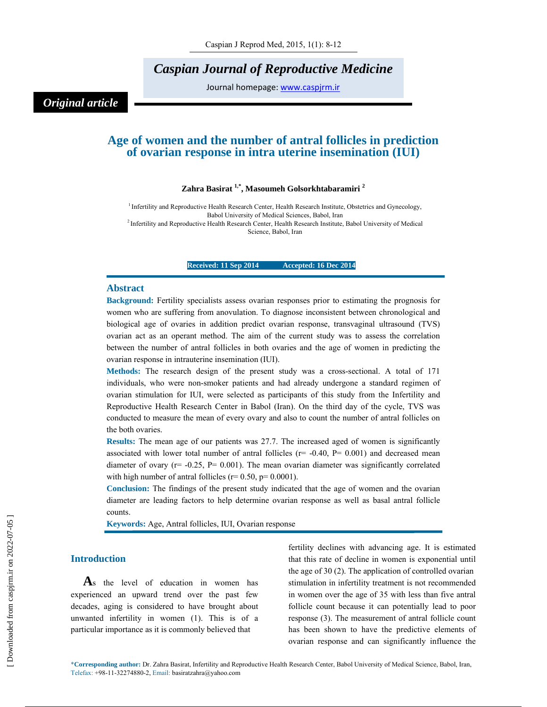## *Caspian Journal of Reproductive Medicine*

Journal homepage: www.caspjrm.ir

### *Original article*

### **Age of women and the number of antral follicles in prediction of ovarian response in intra uterine insemination (IUI)**

### **Zahra Basirat 1,\*, Masoumeh Golsorkhtabaramiri 2**

<sup>1</sup> Infertility and Reproductive Health Research Center, Health Research Institute, Obstetrics and Gynecology, Babol University of Medical Sciences, Babol, Iran<br><sup>2</sup> Infertility and Reproductive Health Research Center, Health Research Institute, Babol University of Medical Science, Babol, Iran

### **Received: 11 Sep 2014 Accepted: 16 Dec 2014**

#### **Abstract**

**Background:** Fertility specialists assess ovarian responses prior to estimating the prognosis for women who are suffering from anovulation. To diagnose inconsistent between chronological and biological age of ovaries in addition predict ovarian response, transvaginal ultrasound (TVS) ovarian act as an operant method. The aim of the current study was to assess the correlation between the number of antral follicles in both ovaries and the age of women in predicting the ovarian response in intrauterine insemination (IUI).

**Methods:** The research design of the present study was a cross-sectional. A total of 171 individuals, who were non-smoker patients and had already undergone a standard regimen of ovarian stimulation for IUI, were selected as participants of this study from the Infertility and Reproductive Health Research Center in Babol (Iran). On the third day of the cycle, TVS was conducted to measure the mean of every ovary and also to count the number of antral follicles on the both ovaries.

**Results:** The mean age of our patients was 27.7. The increased aged of women is significantly associated with lower total number of antral follicles ( $r = -0.40$ ,  $P = 0.001$ ) and decreased mean diameter of ovary ( $r = -0.25$ ,  $P = 0.001$ ). The mean ovarian diameter was significantly correlated with high number of antral follicles ( $r= 0.50$ ,  $p= 0.0001$ ).

**Conclusion:** The findings of the present study indicated that the age of women and the ovarian diameter are leading factors to help determine ovarian response as well as basal antral follicle counts.

**Keywords:** Age, Antral follicles, IUI, Ovarian response

### **Introduction**

**A**s the level of education in women has experienced an upward trend over the past few decades, aging is considered to have brought about unwanted infertility in women (1). This is of a particular importance as it is commonly believed that

fertility declines with advancing age. It is estimated that this rate of decline in women is exponential until the age of 30 (2). The application of controlled ovarian stimulation in infertility treatment is not recommended in women over the age of 35 with less than five antral follicle count because it can potentially lead to poor response (3). The measurement of antral follicle count has been shown to have the predictive elements of ovarian response and can significantly influence the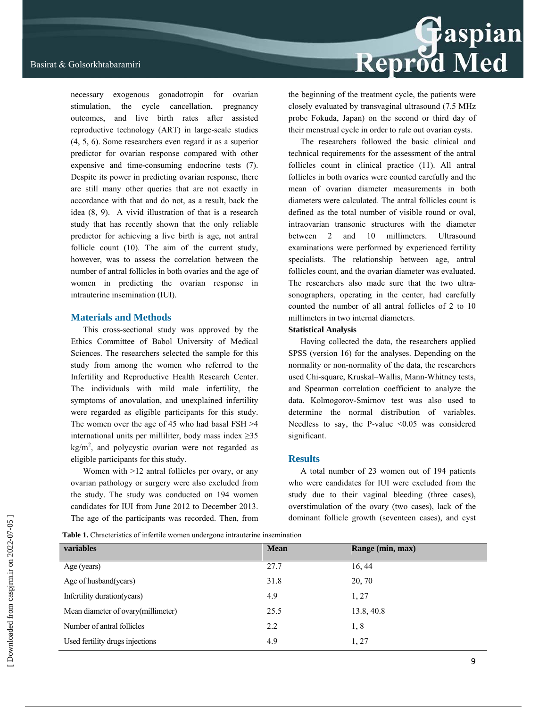necessary exogenous gonadotropin for ovarian stimulation, the cycle cancellation, pregnancy outcomes, and live birth rates after assisted reproductive technology (ART) in large-scale studies (4, 5, 6). Some researchers even regard it as a superior predictor for ovarian response compared with other expensive and time-consuming endocrine tests (7). Despite its power in predicting ovarian response, there are still many other queries that are not exactly in accordance with that and do not, as a result, back the idea (8, 9). A vivid illustration of that is a research study that has recently shown that the only reliable predictor for achieving a live birth is age, not antral follicle count (10). The aim of the current study, however, was to assess the correlation between the number of antral follicles in both ovaries and the age of women in predicting the ovarian response in intrauterine insemination (IUI).

### **Materials and Methods**

This cross-sectional study was approved by the Ethics Committee of Babol University of Medical Sciences. The researchers selected the sample for this study from among the women who referred to the Infertility and Reproductive Health Research Center. The individuals with mild male infertility, the symptoms of anovulation, and unexplained infertility were regarded as eligible participants for this study. The women over the age of 45 who had basal FSH >4 international units per milliliter, body mass index  $\geq 35$  $\text{kg/m}^2$ , and polycystic ovarian were not regarded as eligible participants for this study.

Women with  $>12$  antral follicles per ovary, or any ovarian pathology or surgery were also excluded from the study. The study was conducted on 194 women candidates for IUI from June 2012 to December 2013. The age of the participants was recorded. Then, from

## Reprod Med

the beginning of the treatment cycle, the patients were closely evaluated by transvaginal ultrasound (7.5 MHz probe Fokuda, Japan) on the second or third day of their menstrual cycle in order to rule out ovarian cysts.

The researchers followed the basic clinical and technical requirements for the assessment of the antral follicles count in clinical practice (11). All antral follicles in both ovaries were counted carefully and the mean of ovarian diameter measurements in both diameters were calculated. The antral follicles count is defined as the total number of visible round or oval, intraovarian transonic structures with the diameter between 2 and 10 millimeters. Ultrasound examinations were performed by experienced fertility specialists. The relationship between age, antral follicles count, and the ovarian diameter was evaluated. The researchers also made sure that the two ultrasonographers, operating in the center, had carefully counted the number of all antral follicles of 2 to 10 millimeters in two internal diameters.

### **Statistical Analysis**

Having collected the data, the researchers applied SPSS (version 16) for the analyses. Depending on the normality or non-normality of the data, the researchers used Chi-square, Kruskal–Wallis, Mann-Whitney tests, and Spearman correlation coefficient to analyze the data. Kolmogorov-Smirnov test was also used to determine the normal distribution of variables. Needless to say, the P-value  $\leq 0.05$  was considered significant.

### **Results**

A total number of 23 women out of 194 patients who were candidates for IUI were excluded from the study due to their vaginal bleeding (three cases), overstimulation of the ovary (two cases), lack of the dominant follicle growth (seventeen cases), and cyst

Table 1. Chracteristics of infertile women undergone intrauterine insemination

| variables                           | <b>Mean</b> | Range (min, max) |  |
|-------------------------------------|-------------|------------------|--|
| Age (years)                         | 27.7        | 16, 44           |  |
| Age of husband(years)               | 31.8        | 20, 70           |  |
| Infertility duration (years)        | 4.9         | 1, 27            |  |
| Mean diameter of ovary (millimeter) | 25.5        | 13.8, 40.8       |  |
| Number of antral follicles          | 2.2         | 1,8              |  |
| Used fertility drugs injections     | 4.9         | 1, 27            |  |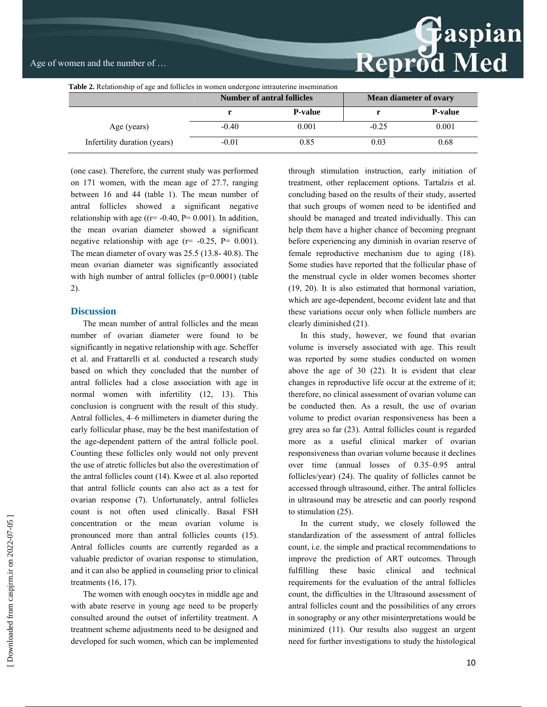# Reprod Med

| <b>Table 2.</b> Relationship of age and follicles in women undergone intrauterine insemination |                                   |                |                               |                 |  |  |
|------------------------------------------------------------------------------------------------|-----------------------------------|----------------|-------------------------------|-----------------|--|--|
|                                                                                                | <b>Number of antral follicles</b> |                | <b>Mean diameter of ovary</b> |                 |  |  |
|                                                                                                |                                   | <b>P-value</b> |                               | <b>P</b> -value |  |  |
| Age (years)                                                                                    | $-0.40$                           | 0.001          | $-0.25$                       | 0.001           |  |  |
| Infertility duration (years)                                                                   | $-0.01$                           | 0.85           | 0.03                          | 0.68            |  |  |

(one case). Therefore, the current study was performed on 171 women, with the mean age of 27.7, ranging between 16 and 44 (table 1). The mean number of antral follicles showed a significant negative relationship with age ( $(r=-0.40, P= 0.001)$ ). In addition, the mean ovarian diameter showed a significant negative relationship with age  $(r = -0.25, P = 0.001)$ . The mean diameter of ovary was 25.5 (13.8- 40.8). The mean ovarian diameter was significantly associated with high number of antral follicles (p=0.0001) (table 2).

### **Discussion**

The mean number of antral follicles and the mean number of ovarian diameter were found to be significantly in negative relationship with age. Scheffer et al. and Frattarelli et al. conducted a research study based on which they concluded that the number of antral follicles had a close association with age in normal women with infertility (12, 13). This conclusion is congruent with the result of this study. Antral follicles, 4–6 millimeters in diameter during the early follicular phase, may be the best manifestation of the age-dependent pattern of the antral follicle pool. Counting these follicles only would not only prevent the use of atretic follicles but also the overestimation of the antral follicles count (14). Kwee et al. also reported that antral follicle counts can also act as a test for ovarian response (7). Unfortunately, antral follicles count is not often used clinically. Basal FSH concentration or the mean ovarian volume is pronounced more than antral follicles counts (15). Antral follicles counts are currently regarded as a valuable predictor of ovarian response to stimulation, and it can also be applied in counseling prior to clinical treatments (16, 17).

The women with enough oocytes in middle age and with abate reserve in young age need to be properly consulted around the outset of infertility treatment. A treatment scheme adjustments need to be designed and developed for such women, which can be implemented through stimulation instruction, early initiation of treatment, other replacement options. Tartalzis et al. concluding based on the results of their study, asserted that such groups of women need to be identified and should be managed and treated individually. This can help them have a higher chance of becoming pregnant before experiencing any diminish in ovarian reserve of female reproductive mechanism due to aging (18). Some studies have reported that the follicular phase of the menstrual cycle in older women becomes shorter (19, 20). It is also estimated that hormonal variation, which are age-dependent, become evident late and that these variations occur only when follicle numbers are clearly diminished (21).

In this study, however, we found that ovarian volume is inversely associated with age. This result was reported by some studies conducted on women above the age of 30 (22). It is evident that clear changes in reproductive life occur at the extreme of it; therefore, no clinical assessment of ovarian volume can be conducted then. As a result, the use of ovarian volume to predict ovarian responsiveness has been a grey area so far (23). Antral follicles count is regarded more as a useful clinical marker of ovarian responsiveness than ovarian volume because it declines over time (annual losses of 0.35–0.95 antral follicles/year) (24). The quality of follicles cannot be accessed through ultrasound, either. The antral follicles in ultrasound may be atresetic and can poorly respond to stimulation (25).

In the current study, we closely followed the standardization of the assessment of antral follicles count, i.e. the simple and practical recommendations to improve the prediction of ART outcomes. Through fulfilling these basic clinical and technical requirements for the evaluation of the antral follicles count, the difficulties in the Ultrasound assessment of antral follicles count and the possibilities of any errors in sonography or any other misinterpretations would be minimized (11). Our results also suggest an urgent need for further investigations to study the histological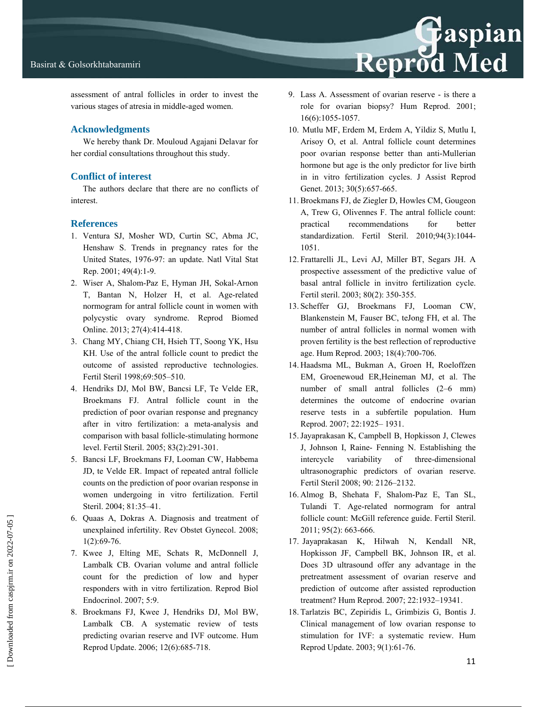

assessment of antral follicles in order to invest the various stages of atresia in middle-aged women.

### **Acknowledgments**

We hereby thank Dr. Mouloud Agajani Delavar for her cordial consultations throughout this study.

### **Conflict of interest**

The authors declare that there are no conflicts of interest.

### **References**

- 1. Ventura SJ, Mosher WD, Curtin SC, Abma JC, Henshaw S. Trends in pregnancy rates for the United States, 1976-97: an update. Natl Vital Stat Rep. 2001; 49(4):1-9.
- 2. Wiser A, Shalom-Paz E, Hyman JH, Sokal-Arnon T, Bantan N, Holzer H, et al. Age-related normogram for antral follicle count in women with polycystic ovary syndrome. Reprod Biomed Online. 2013; 27(4):414-418.
- 3. Chang MY, Chiang CH, Hsieh TT, Soong YK, Hsu KH. Use of the antral follicle count to predict the outcome of assisted reproductive technologies. Fertil Steril 1998;69:505–510.
- 4. Hendriks DJ, Mol BW, Bancsi LF, Te Velde ER, Broekmans FJ. Antral follicle count in the prediction of poor ovarian response and pregnancy after in vitro fertilization: a meta-analysis and comparison with basal follicle-stimulating hormone level. Fertil Steril. 2005; 83(2):291-301.
- 5. Bancsi LF, Broekmans FJ, Looman CW, Habbema JD, te Velde ER. Impact of repeated antral follicle counts on the prediction of poor ovarian response in women undergoing in vitro fertilization. Fertil Steril. 2004; 81:35–41.
- 6. Quaas A, Dokras A. Diagnosis and treatment of unexplained infertility. Rev Obstet Gynecol. 2008; 1(2):69-76.
- 7. Kwee J, Elting ME, Schats R, McDonnell J, Lambalk CB. Ovarian volume and antral follicle count for the prediction of low and hyper responders with in vitro fertilization. Reprod Biol Endocrinol. 2007; 5:9.
- 8. Broekmans FJ, Kwee J, Hendriks DJ, Mol BW, Lambalk CB. A systematic review of tests predicting ovarian reserve and IVF outcome. Hum Reprod Update. 2006; 12(6):685-718.

9. Lass A. Assessment of ovarian reserve - is there a role for ovarian biopsy? Hum Reprod. 2001; 16(6):1055-1057.

Reprod Med

- 10. Mutlu MF, Erdem M, Erdem A, Yildiz S, Mutlu I, Arisoy O, et al. Antral follicle count determines poor ovarian response better than anti-Mullerian hormone but age is the only predictor for live birth in in vitro fertilization cycles. J Assist Reprod Genet. 2013; 30(5):657-665.
- 11.Broekmans FJ, de Ziegler D, Howles CM, Gougeon A, Trew G, Olivennes F. The antral follicle count: practical recommendations for better standardization. Fertil Steril. 2010;94(3):1044- 1051.
- 12. Frattarelli JL, Levi AJ, Miller BT, Segars JH. A prospective assessment of the predictive value of basal antral follicle in invitro fertilization cycle. Fertil steril. 2003; 80(2): 350-355.
- 13. Scheffer GJ, Broekmans FJ, Looman CW, Blankenstein M, Fauser BC, teJong FH, et al. The number of antral follicles in normal women with proven fertility is the best reflection of reproductive age. Hum Reprod. 2003; 18(4):700-706.
- 14. Haadsma ML, Bukman A, Groen H, Roeloffzen EM, Groenewoud ER,Heineman MJ, et al. The number of small antral follicles (2–6 mm) determines the outcome of endocrine ovarian reserve tests in a subfertile population. Hum Reprod. 2007; 22:1925– 1931.
- 15.Jayaprakasan K, Campbell B, Hopkisson J, Clewes J, Johnson I, Raine- Fenning N. Establishing the intercycle variability of three-dimensional ultrasonographic predictors of ovarian reserve. Fertil Steril 2008; 90: 2126–2132.
- 16. Almog B, Shehata F, Shalom-Paz E, Tan SL, Tulandi T. Age-related normogram for antral follicle count: McGill reference guide. Fertil Steril. 2011; 95(2): 663-666.
- 17. Jayaprakasan K, Hilwah N, Kendall NR, Hopkisson JF, Campbell BK, Johnson IR, et al. Does 3D ultrasound offer any advantage in the pretreatment assessment of ovarian reserve and prediction of outcome after assisted reproduction treatment? Hum Reprod. 2007; 22:1932–19341.
- 18. Tarlatzis BC, Zepiridis L, Grimbizis G, Bontis J. Clinical management of low ovarian response to stimulation for IVF: a systematic review. Hum Reprod Update. 2003; 9(1):61-76.